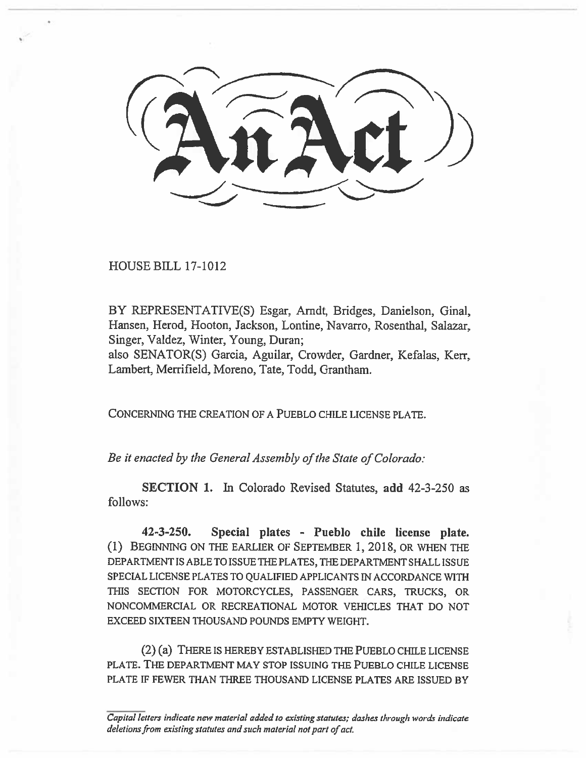HOUSE **BILL 17-1012** 

**BY REPRESENTATIVE(S)** Esgar, Arndt, Bridges, Danielson, Ginal, Hansen, Herod, Hooton, Jackson, Lontine, Navarro, Rosenthal, Salazar, Singer, Valdez, Winter, Young, Duran;

also SENATOR(S) Garcia, Aguilar, Crowder, Gardner, Kefalas, Kerr, Lambert, Merrifield, Moreno, Tate, Todd, Grantham.

CONCERNING THE CREATION OF A PUEBLO CHILE LICENSE PLATE.

*Be it enacted by the General Assembly of the State of Colorado:* 

**SECTION I.** In Colorado Revised Statutes, **add 42-3-250 as follows:** 

**42-3-250. Special plates - Pueblo chile license plate.**  (1) BEGINNING ON THE EARLIER OF SEPTEMBER 1, **2018,** OR WHEN THE DEPARTMENT IS ABLE TO ISSUE THE PLATES, THE DEPARTMENT SHALL ISSUE SPECIAL LICENSE PLATES TO QUALIFIED APPLICANTS IN ACCORDANCE WITH THIS SECTION FOR MOTORCYCLES, PASSENGER CARS, TRUCKS, OR NONCOMMERCIAL OR RECREATIONAL MOTOR VEHICLES THAT DO NOT EXCEED SIXTEEN THOUSAND POUNDS EMPTY WEIGHT.

(2) (a) THERE IS HEREBY ESTABLISHED THE PUEBLO CHILE LICENSE PLATE. THE DEPARTMENT MAY STOP ISSUING THE PUEBLO CHILE LICENSE PLATE IF FEWER THAN THREE THOUSAND LICENSE PLATES ARE ISSUED BY

*Capital letters indicate new material added to existing statutes; dashes through words indicate deletions from existing statutes and such material not part of act.*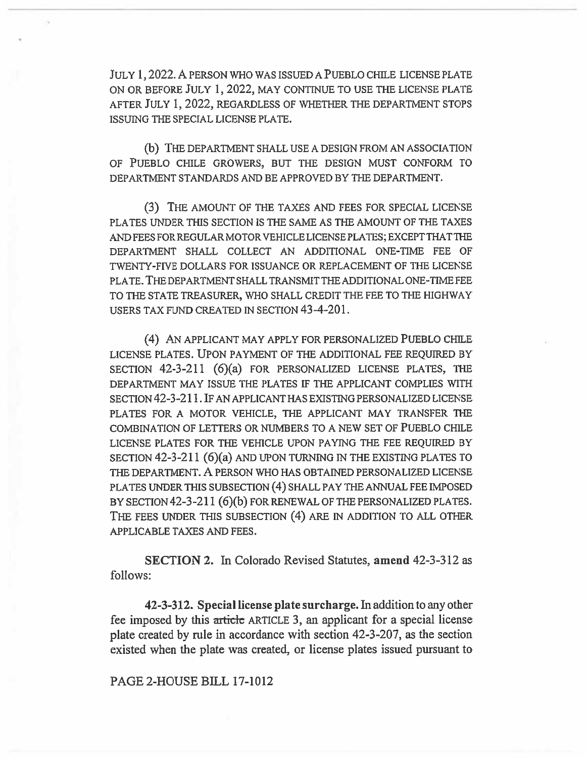JULY 1, 2022. A PERSON WHO WAS ISSUED A PUEBLO CHILE LICENSE PLATE ON OR BEFORE JULY 1, 2022, MAY CONTINUE TO USE THE LICENSE PLATE AFTER JULY 1, 2022, REGARDLESS OF WHETHER THE DEPARTMENT STOPS ISSUING THE SPECIAL LICENSE PLATE.

(b) THE DEPARTMENT SHALL USE A DESIGN FROM AN ASSOCIATION OF PUEBLO CHILE GROWERS, BUT THE DESIGN MUST CONFORM TO DEPARTMENT STANDARDS AND BE APPROVED BY THE DEPARTMENT.

(3) THE AMOUNT OF THE TAXES AND FEES FOR SPECIAL LICENSE PLATES UNDER THIS SECTION IS THE SAME AS THE AMOUNT OF THE TAXES AND FEES FOR REGULAR MOTOR VEHICLE LICENSE PLATES; EXCEPT THAT THE DEPARTMENT SHALL COLLECT AN ADDITIONAL ONE-TIME FEE OF TWENTY-FIVE DOLLARS FOR ISSUANCE OR REPLACEMENT OF THE LICENSE PLATE. THE DEPARTMENT SHALL TRANSMIT THE ADDITIONAL ONE-TIME FEE TO THE STATE TREASURER, WHO SHALL CREDIT THE FEE TO THE HIGHWAY USERS TAX FUND CREATED IN SECTION 43-4-201.

(4) AN APPLICANT MAY APPLY FOR PERSONALIZED PUEBLO CHILE LICENSE PLATES. UPON PAYMENT OF THE ADDITIONAL FEE REQUIRED BY SECTION  $42-3-211$  (6)(a) FOR PERSONALIZED LICENSE PLATES, THE DEPARTMENT MAY ISSUE THE PLATES IF THE APPLICANT COMPLIES WITH SECTION 42-3-211. IF AN APPLICANT HAS EXISTING PERSONALIZED LICENSE PLATES FOR A MOTOR VEHICLE, THE APPLICANT MAY TRANSFER THE COMBINATION OF LETTERS OR NUMBERS TO A NEW SET OF PUEBLO CHILE LICENSE PLATES FOR THE VEHICLE UPON PAYING THE FEE REQUIRED BY SECTION 42-3-211 (6)(a) AND UPON TURNING IN THE EXISTING PLATES TO THE DEPARTMENT. A PERSON WHO HAS OBTAINED PERSONALIZED LICENSE PLATES UNDER THIS SUBSECTION (4) SHALL PAY THE ANNUAL FEE IMPOSED BY SECTION 42-3-211 (6)(b) FOR RENEWAL OF THE PERSONALIZED PLATES. THE FEES UNDER THIS SUBSECTION (4) ARE IN ADDITION TO ALL OTHER APPLICABLE TAXES AND FEES.

**SECTION 2.** In Colorado Revised Statutes, amend 42-3-312 as follows:

42-3-312. Special license plate surcharge. In addition to any other fee imposed by this article ARTICLE 3, an applicant for a special license plate created by rule in accordance with section 42-3-207, as the section existed when the plate was created, or license plates issued pursuant to

## PAGE 2-HOUSE BILL 17-1012